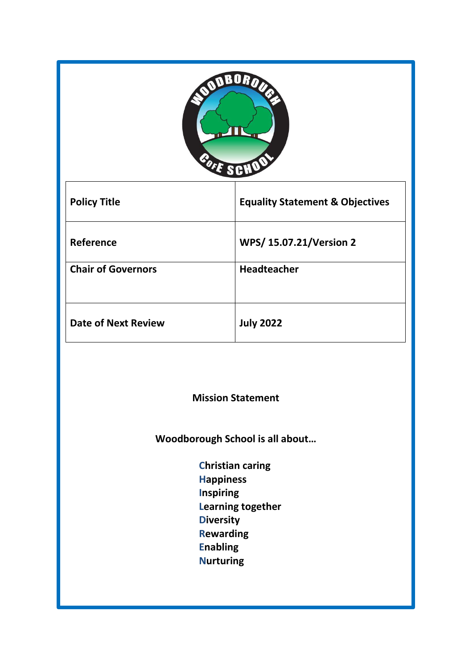|  | <b>ODDBOROUT</b> |  |
|--|------------------|--|
|  |                  |  |
|  |                  |  |
|  | BOIE SCHOO       |  |
|  |                  |  |

Ť

 $\lceil$ 

| <b>Policy Title</b>        | <b>Equality Statement &amp; Objectives</b> |
|----------------------------|--------------------------------------------|
| Reference                  | <b>WPS/15.07.21/Version 2</b>              |
| <b>Chair of Governors</b>  | <b>Headteacher</b>                         |
| <b>Date of Next Review</b> | <b>July 2022</b>                           |

**Mission Statement**

**Woodborough School is all about…**

 **Christian caring Happiness Inspiring Learning together Diversity Rewarding Enabling Nurturing**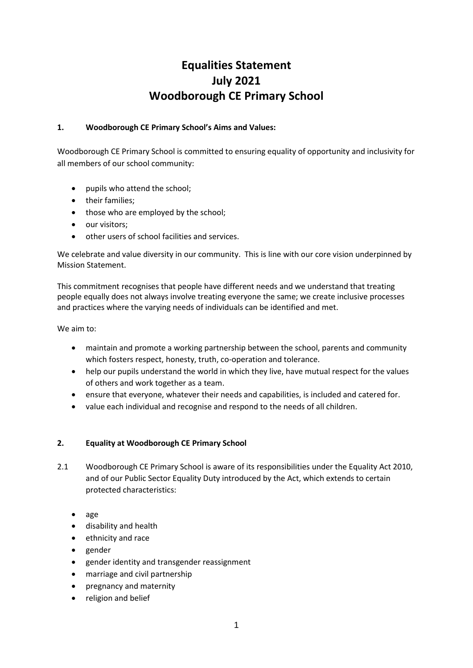# **Equalities Statement July 2021 Woodborough CE Primary School**

# **1. Woodborough CE Primary School's Aims and Values:**

Woodborough CE Primary School is committed to ensuring equality of opportunity and inclusivity for all members of our school community:

- pupils who attend the school;
- their families:
- those who are employed by the school;
- our visitors:
- other users of school facilities and services.

We celebrate and value diversity in our community. This is line with our core vision underpinned by Mission Statement.

This commitment recognises that people have different needs and we understand that treating people equally does not always involve treating everyone the same; we create inclusive processes and practices where the varying needs of individuals can be identified and met.

We aim to:

- maintain and promote a working partnership between the school, parents and community which fosters respect, honesty, truth, co-operation and tolerance.
- help our pupils understand the world in which they live, have mutual respect for the values of others and work together as a team.
- ensure that everyone, whatever their needs and capabilities, is included and catered for.
- value each individual and recognise and respond to the needs of all children.

## **2. Equality at Woodborough CE Primary School**

- 2.1 Woodborough CE Primary School is aware of its responsibilities under the Equality Act 2010, and of our Public Sector Equality Duty introduced by the Act, which extends to certain protected characteristics:
	- age
	- disability and health
	- ethnicity and race
	- gender
	- gender identity and transgender reassignment
	- marriage and civil partnership
	- pregnancy and maternity
	- religion and belief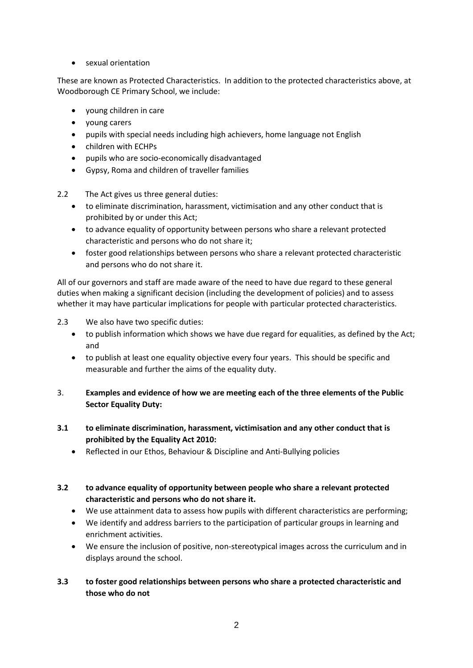sexual orientation

These are known as Protected Characteristics. In addition to the protected characteristics above, at Woodborough CE Primary School, we include:

- young children in care
- young carers
- pupils with special needs including high achievers, home language not English
- children with ECHPs
- pupils who are socio-economically disadvantaged
- Gypsy, Roma and children of traveller families

2.2 The Act gives us three general duties:

- to eliminate discrimination, harassment, victimisation and any other conduct that is prohibited by or under this Act;
- to advance equality of opportunity between persons who share a relevant protected characteristic and persons who do not share it;
- foster good relationships between persons who share a relevant protected characteristic and persons who do not share it.

All of our governors and staff are made aware of the need to have due regard to these general duties when making a significant decision (including the development of policies) and to assess whether it may have particular implications for people with particular protected characteristics.

- 2.3 We also have two specific duties:
	- to publish information which shows we have due regard for equalities, as defined by the Act; and
	- to publish at least one equality objective every four years. This should be specific and measurable and further the aims of the equality duty.
- 3. **Examples and evidence of how we are meeting each of the three elements of the Public Sector Equality Duty:**
- **3.1 to eliminate discrimination, harassment, victimisation and any other conduct that is prohibited by the Equality Act 2010:**
	- Reflected in our Ethos, Behaviour & Discipline and Anti-Bullying policies
- **3.2 to advance equality of opportunity between people who share a relevant protected characteristic and persons who do not share it.**
	- We use attainment data to assess how pupils with different characteristics are performing;
	- We identify and address barriers to the participation of particular groups in learning and enrichment activities.
	- We ensure the inclusion of positive, non-stereotypical images across the curriculum and in displays around the school.
- **3.3 to foster good relationships between persons who share a protected characteristic and those who do not**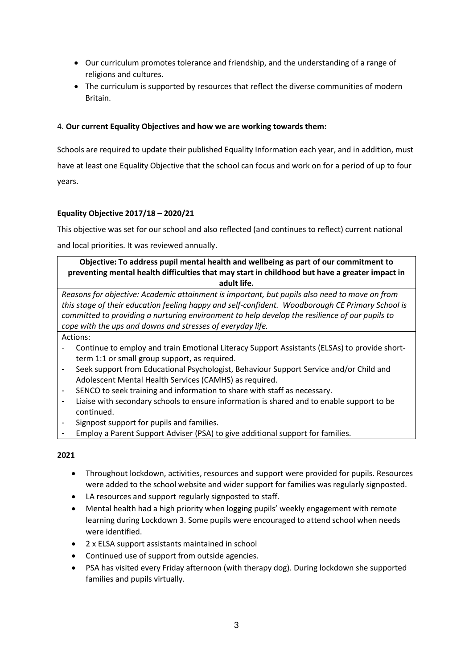- Our curriculum promotes tolerance and friendship, and the understanding of a range of religions and cultures.
- The curriculum is supported by resources that reflect the diverse communities of modern Britain.

# 4. **Our current Equality Objectives and how we are working towards them:**

Schools are required to update their published Equality Information each year, and in addition, must have at least one Equality Objective that the school can focus and work on for a period of up to four years.

# **Equality Objective 2017/18 – 2020/21**

This objective was set for our school and also reflected (and continues to reflect) current national

and local priorities. It was reviewed annually.

# **Objective: To address pupil mental health and wellbeing as part of our commitment to preventing mental health difficulties that may start in childhood but have a greater impact in adult life.**

*Reasons for objective: Academic attainment is important, but pupils also need to move on from this stage of their education feeling happy and self-confident. Woodborough CE Primary School is committed to providing a nurturing environment to help develop the resilience of our pupils to cope with the ups and downs and stresses of everyday life.* 

Actions:

- Continue to employ and train Emotional Literacy Support Assistants (ELSAs) to provide shortterm 1:1 or small group support, as required.
- Seek support from Educational Psychologist, Behaviour Support Service and/or Child and Adolescent Mental Health Services (CAMHS) as required.
- SENCO to seek training and information to share with staff as necessary.
- Liaise with secondary schools to ensure information is shared and to enable support to be continued.
- Signpost support for pupils and families.
- Employ a Parent Support Adviser (PSA) to give additional support for families.

## **2021**

- Throughout lockdown, activities, resources and support were provided for pupils. Resources were added to the school website and wider support for families was regularly signposted.
- LA resources and support regularly signposted to staff.
- Mental health had a high priority when logging pupils' weekly engagement with remote learning during Lockdown 3. Some pupils were encouraged to attend school when needs were identified.
- 2 x ELSA support assistants maintained in school
- Continued use of support from outside agencies.
- PSA has visited every Friday afternoon (with therapy dog). During lockdown she supported families and pupils virtually.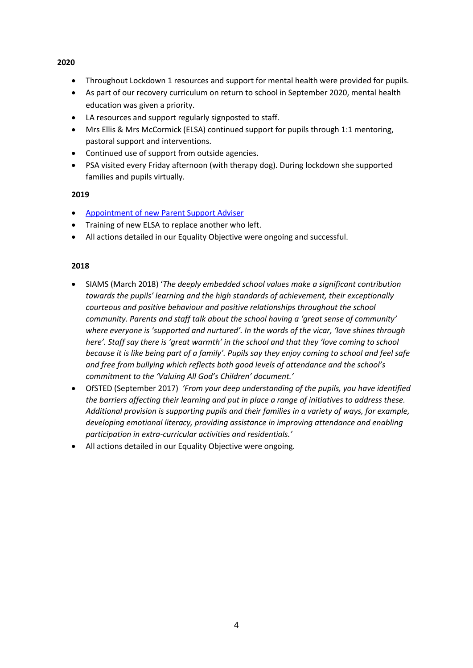#### **2020**

- Throughout Lockdown 1 resources and support for mental health were provided for pupils.
- As part of our recovery curriculum on return to school in September 2020, mental health education was given a priority.
- LA resources and support regularly signposted to staff.
- Mrs Ellis & Mrs McCormick (ELSA) continued support for pupils through 1:1 mentoring, pastoral support and interventions.
- Continued use of support from outside agencies.
- PSA visited every Friday afternoon (with therapy dog). During lockdown she supported families and pupils virtually.

## **2019**

- [Appointment of new Parent Support Adviser](https://woodboroughschool.org/wp-content/uploads/2020/03/New-PSA-letter-to-parents-March-2019.pdf)
- Training of new ELSA to replace another who left.
- All actions detailed in our Equality Objective were ongoing and successful.

## **2018**

- SIAMS (March 2018) '*The deeply embedded school values make a significant contribution towards the pupils' learning and the high standards of achievement, their exceptionally courteous and positive behaviour and positive relationships throughout the school community. Parents and staff talk about the school having a 'great sense of community' where everyone is 'supported and nurtured'. In the words of the vicar, 'love shines through here'. Staff say there is 'great warmth' in the school and that they 'love coming to school because it is like being part of a family'. Pupils say they enjoy coming to school and feel safe and free from bullying which reflects both good levels of attendance and the school's commitment to the 'Valuing All God's Children' document.'*
- OfSTED (September 2017) *'From your deep understanding of the pupils, you have identified the barriers affecting their learning and put in place a range of initiatives to address these. Additional provision is supporting pupils and their families in a variety of ways, for example, developing emotional literacy, providing assistance in improving attendance and enabling participation in extra-curricular activities and residentials.'*
- All actions detailed in our Equality Objective were ongoing.